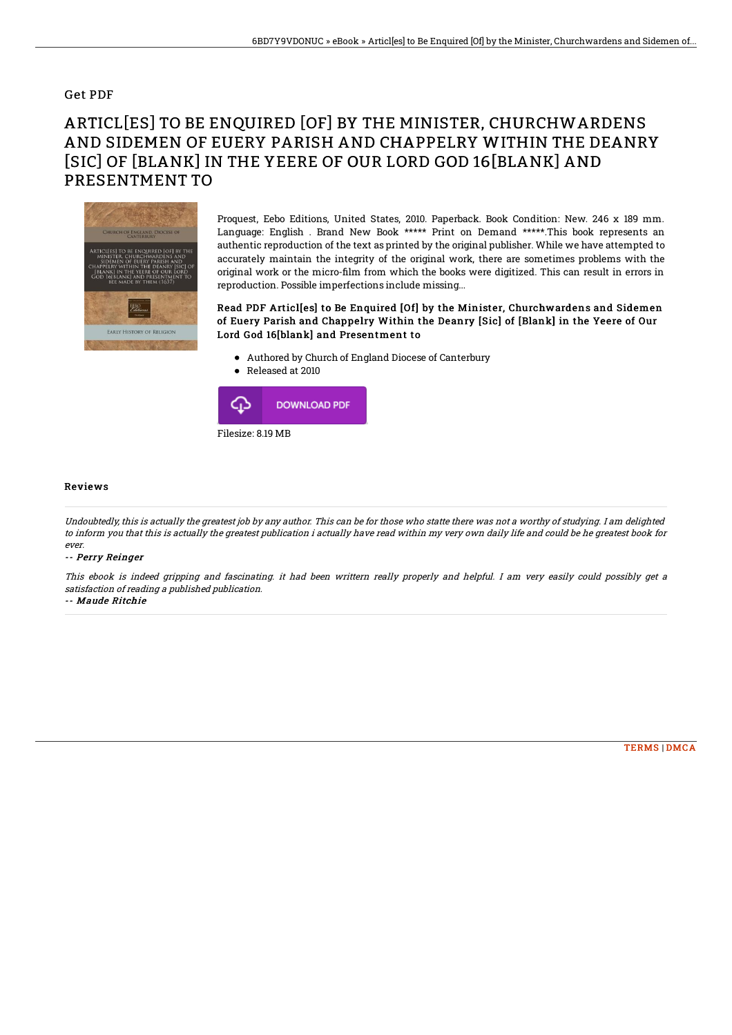## Get PDF

# ARTICL[ES] TO BE ENQUIRED [OF] BY THE MINISTER, CHURCHWARDENS AND SIDEMEN OF EUERY PARISH AND CHAPPELRY WITHIN THE DEANRY [SIC] OF [BLANK] IN THE YEERE OF OUR LORD GOD 16[BLANK] AND PRESENTMENT TO



Proquest, Eebo Editions, United States, 2010. Paperback. Book Condition: New. 246 x 189 mm. Language: English . Brand New Book \*\*\*\*\* Print on Demand \*\*\*\*\*.This book represents an authentic reproduction of the text as printed by the original publisher. While we have attempted to accurately maintain the integrity of the original work, there are sometimes problems with the original work or the micro-film from which the books were digitized. This can result in errors in reproduction. Possible imperfections include missing...

### Read PDF Articl[es] to Be Enquired [Of] by the Minister, Churchwardens and Sidemen of Euery Parish and Chappelry Within the Deanry [Sic] of [Blank] in the Yeere of Our Lord God 16[blank] and Presentment to

- Authored by Church of England Diocese of Canterbury
- Released at 2010



#### Reviews

Undoubtedly, this is actually the greatest job by any author. This can be for those who statte there was not <sup>a</sup> worthy of studying. I am delighted to inform you that this is actually the greatest publication i actually have read within my very own daily life and could be he greatest book for ever.

#### -- Perry Reinger

This ebook is indeed gripping and fascinating. it had been writtern really properly and helpful. I am very easily could possibly get <sup>a</sup> satisfaction of reading <sup>a</sup> published publication.

-- Maude Ritchie